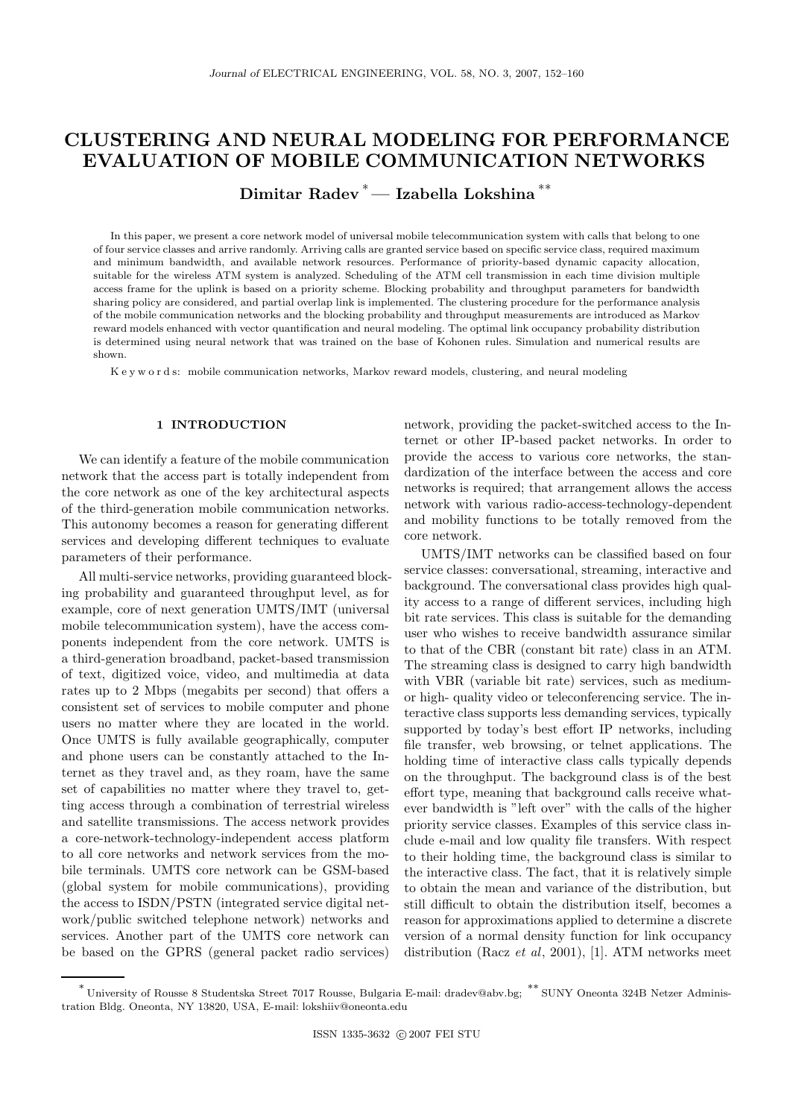# CLUSTERING AND NEURAL MODELING FOR PERFORMANCE EVALUATION OF MOBILE COMMUNICATION NETWORKS

Dimitar Radev <sup>∗</sup>— Izabella Lokshina ∗∗

In this paper, we present a core network model of universal mobile telecommunication system with calls that belong to one of four service classes and arrive randomly. Arriving calls are granted service based on specific service class, required maximum and minimum bandwidth, and available network resources. Performance of priority-based dynamic capacity allocation, suitable for the wireless ATM system is analyzed. Scheduling of the ATM cell transmission in each time division multiple access frame for the uplink is based on a priority scheme. Blocking probability and throughput parameters for bandwidth sharing policy are considered, and partial overlap link is implemented. The clustering procedure for the performance analysis of the mobile communication networks and the blocking probability and throughput measurements are introduced as Markov reward models enhanced with vector quantification and neural modeling. The optimal link occupancy probability distribution is determined using neural network that was trained on the base of Kohonen rules. Simulation and numerical results are shown.

K e y w o r d s: mobile communication networks, Markov reward models, clustering, and neural modeling

#### 1 INTRODUCTION

We can identify a feature of the mobile communication network that the access part is totally independent from the core network as one of the key architectural aspects of the third-generation mobile communication networks. This autonomy becomes a reason for generating different services and developing different techniques to evaluate parameters of their performance.

All multi-service networks, providing guaranteed blocking probability and guaranteed throughput level, as for example, core of next generation UMTS/IMT (universal mobile telecommunication system), have the access components independent from the core network. UMTS is a third-generation broadband, packet-based transmission of text, digitized voice, video, and multimedia at data rates up to 2 Mbps (megabits per second) that offers a consistent set of services to mobile computer and phone users no matter where they are located in the world. Once UMTS is fully available geographically, computer and phone users can be constantly attached to the Internet as they travel and, as they roam, have the same set of capabilities no matter where they travel to, getting access through a combination of terrestrial wireless and satellite transmissions. The access network provides a core-network-technology-independent access platform to all core networks and network services from the mobile terminals. UMTS core network can be GSM-based (global system for mobile communications), providing the access to ISDN/PSTN (integrated service digital network/public switched telephone network) networks and services. Another part of the UMTS core network can be based on the GPRS (general packet radio services)

network, providing the packet-switched access to the Internet or other IP-based packet networks. In order to provide the access to various core networks, the standardization of the interface between the access and core networks is required; that arrangement allows the access network with various radio-access-technology-dependent and mobility functions to be totally removed from the core network.

UMTS/IMT networks can be classified based on four service classes: conversational, streaming, interactive and background. The conversational class provides high quality access to a range of different services, including high bit rate services. This class is suitable for the demanding user who wishes to receive bandwidth assurance similar to that of the CBR (constant bit rate) class in an ATM. The streaming class is designed to carry high bandwidth with VBR (variable bit rate) services, such as mediumor high- quality video or teleconferencing service. The interactive class supports less demanding services, typically supported by today's best effort IP networks, including file transfer, web browsing, or telnet applications. The holding time of interactive class calls typically depends on the throughput. The background class is of the best effort type, meaning that background calls receive whatever bandwidth is "left over" with the calls of the higher priority service classes. Examples of this service class include e-mail and low quality file transfers. With respect to their holding time, the background class is similar to the interactive class. The fact, that it is relatively simple to obtain the mean and variance of the distribution, but still difficult to obtain the distribution itself, becomes a reason for approximations applied to determine a discrete version of a normal density function for link occupancy distribution (Racz et al, 2001), [1]. ATM networks meet

<sup>∗</sup> University of Rousse 8 Studentska Street 7017 Rousse, Bulgaria E-mail: dradev@abv.bg; ∗∗ SUNY Oneonta 324B Netzer Administration Bldg. Oneonta, NY 13820, USA, E-mail: lokshiiv@oneonta.edu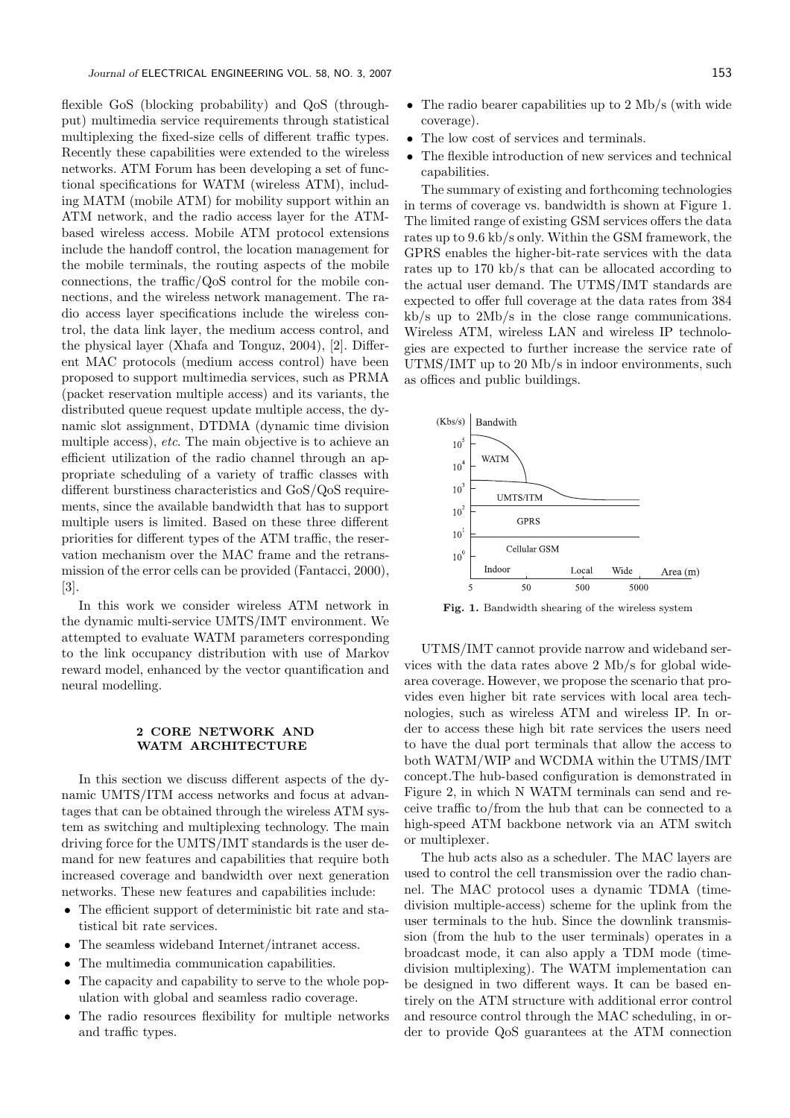flexible GoS (blocking probability) and QoS (throughput) multimedia service requirements through statistical multiplexing the fixed-size cells of different traffic types. Recently these capabilities were extended to the wireless networks. ATM Forum has been developing a set of functional specifications for WATM (wireless ATM), including MATM (mobile ATM) for mobility support within an ATM network, and the radio access layer for the ATMbased wireless access. Mobile ATM protocol extensions include the handoff control, the location management for the mobile terminals, the routing aspects of the mobile connections, the traffic/QoS control for the mobile connections, and the wireless network management. The radio access layer specifications include the wireless control, the data link layer, the medium access control, and the physical layer (Xhafa and Tonguz, 2004), [2]. Different MAC protocols (medium access control) have been proposed to support multimedia services, such as PRMA (packet reservation multiple access) and its variants, the distributed queue request update multiple access, the dynamic slot assignment, DTDMA (dynamic time division multiple access), etc. The main objective is to achieve an efficient utilization of the radio channel through an appropriate scheduling of a variety of traffic classes with different burstiness characteristics and GoS/QoS requirements, since the available bandwidth that has to support multiple users is limited. Based on these three different priorities for different types of the ATM traffic, the reservation mechanism over the MAC frame and the retransmission of the error cells can be provided (Fantacci, 2000), [3].

In this work we consider wireless ATM network in the dynamic multi-service UMTS/IMT environment. We attempted to evaluate WATM parameters corresponding to the link occupancy distribution with use of Markov reward model, enhanced by the vector quantification and neural modelling.

#### 2 CORE NETWORK AND WATM ARCHITECTURE

In this section we discuss different aspects of the dynamic UMTS/ITM access networks and focus at advantages that can be obtained through the wireless ATM system as switching and multiplexing technology. The main driving force for the UMTS/IMT standards is the user demand for new features and capabilities that require both increased coverage and bandwidth over next generation networks. These new features and capabilities include:

- The efficient support of deterministic bit rate and statistical bit rate services.
- The seamless wideband Internet/intranet access.
- The multimedia communication capabilities.
- The capacity and capability to serve to the whole population with global and seamless radio coverage.
- The radio resources flexibility for multiple networks and traffic types.
- The radio bearer capabilities up to 2 Mb/s (with wide coverage).
- The low cost of services and terminals.
- The flexible introduction of new services and technical capabilities.

The summary of existing and forthcoming technologies in terms of coverage vs. bandwidth is shown at Figure 1. The limited range of existing GSM services offers the data rates up to 9.6 kb/s only. Within the GSM framework, the GPRS enables the higher-bit-rate services with the data rates up to 170 kb/s that can be allocated according to the actual user demand. The UTMS/IMT standards are expected to offer full coverage at the data rates from 384 kb/s up to 2Mb/s in the close range communications. Wireless ATM, wireless LAN and wireless IP technologies are expected to further increase the service rate of UTMS/IMT up to 20 Mb/s in indoor environments, such as offices and public buildings.



Fig. 1. Bandwidth shearing of the wireless system

UTMS/IMT cannot provide narrow and wideband services with the data rates above 2 Mb/s for global widearea coverage. However, we propose the scenario that provides even higher bit rate services with local area technologies, such as wireless ATM and wireless IP. In order to access these high bit rate services the users need to have the dual port terminals that allow the access to both WATM/WIP and WCDMA within the UTMS/IMT concept.The hub-based configuration is demonstrated in Figure 2, in which N WATM terminals can send and receive traffic to/from the hub that can be connected to a high-speed ATM backbone network via an ATM switch or multiplexer.

The hub acts also as a scheduler. The MAC layers are used to control the cell transmission over the radio channel. The MAC protocol uses a dynamic TDMA (timedivision multiple-access) scheme for the uplink from the user terminals to the hub. Since the downlink transmission (from the hub to the user terminals) operates in a broadcast mode, it can also apply a TDM mode (timedivision multiplexing). The WATM implementation can be designed in two different ways. It can be based entirely on the ATM structure with additional error control and resource control through the MAC scheduling, in order to provide QoS guarantees at the ATM connection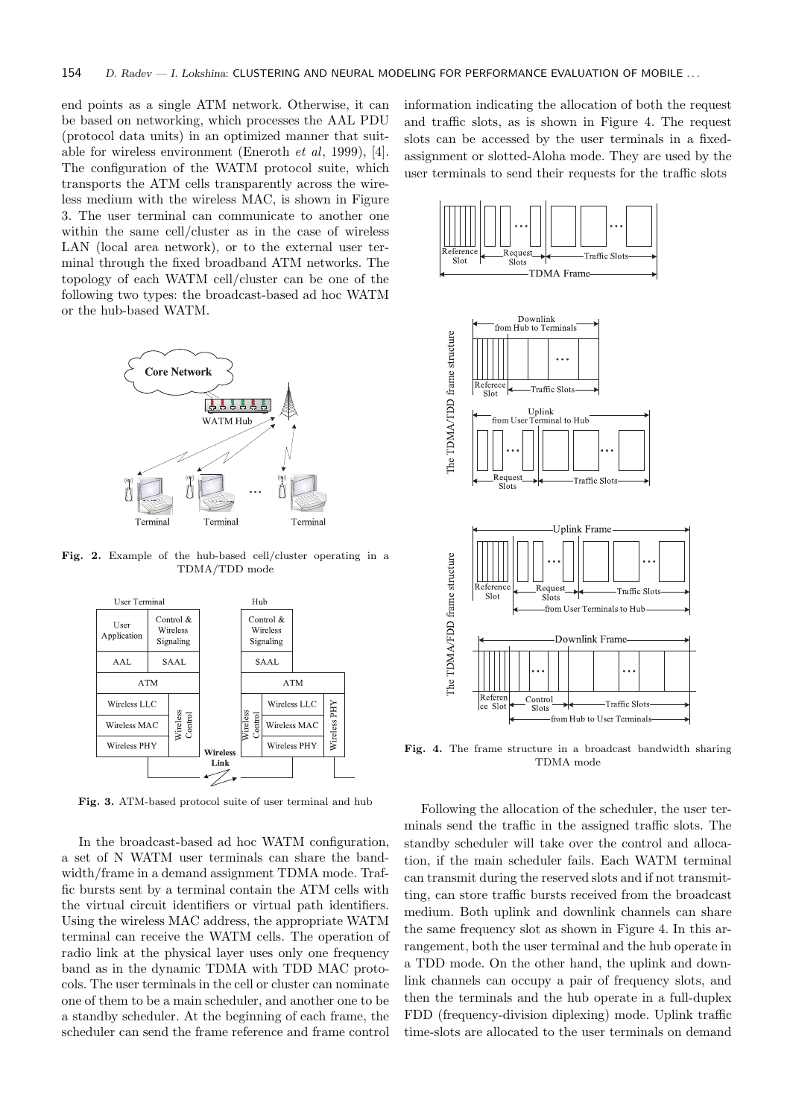end points as a single ATM network. Otherwise, it can be based on networking, which processes the AAL PDU (protocol data units) in an optimized manner that suitable for wireless environment (Eneroth et al, 1999), [4]. The configuration of the WATM protocol suite, which transports the ATM cells transparently across the wireless medium with the wireless MAC, is shown in Figure 3. The user terminal can communicate to another one within the same cell/cluster as in the case of wireless LAN (local area network), or to the external user terminal through the fixed broadband ATM networks. The topology of each WATM cell/cluster can be one of the following two types: the broadcast-based ad hoc WATM or the hub-based WATM.



Fig. 2. Example of the hub-based cell/cluster operating in a TDMA/TDD mode



Fig. 3. ATM-based protocol suite of user terminal and hub

In the broadcast-based ad hoc WATM configuration, a set of N WATM user terminals can share the bandwidth/frame in a demand assignment TDMA mode. Traffic bursts sent by a terminal contain the ATM cells with the virtual circuit identifiers or virtual path identifiers. Using the wireless MAC address, the appropriate WATM terminal can receive the WATM cells. The operation of radio link at the physical layer uses only one frequency band as in the dynamic TDMA with TDD MAC protocols. The user terminals in the cell or cluster can nominate one of them to be a main scheduler, and another one to be a standby scheduler. At the beginning of each frame, the scheduler can send the frame reference and frame control information indicating the allocation of both the request and traffic slots, as is shown in Figure 4. The request slots can be accessed by the user terminals in a fixedassignment or slotted-Aloha mode. They are used by the user terminals to send their requests for the traffic slots



Fig. 4. The frame structure in a broadcast bandwidth sharing TDMA mode

Following the allocation of the scheduler, the user terminals send the traffic in the assigned traffic slots. The standby scheduler will take over the control and allocation, if the main scheduler fails. Each WATM terminal can transmit during the reserved slots and if not transmitting, can store traffic bursts received from the broadcast medium. Both uplink and downlink channels can share the same frequency slot as shown in Figure 4. In this arrangement, both the user terminal and the hub operate in a TDD mode. On the other hand, the uplink and downlink channels can occupy a pair of frequency slots, and then the terminals and the hub operate in a full-duplex FDD (frequency-division diplexing) mode. Uplink traffic time-slots are allocated to the user terminals on demand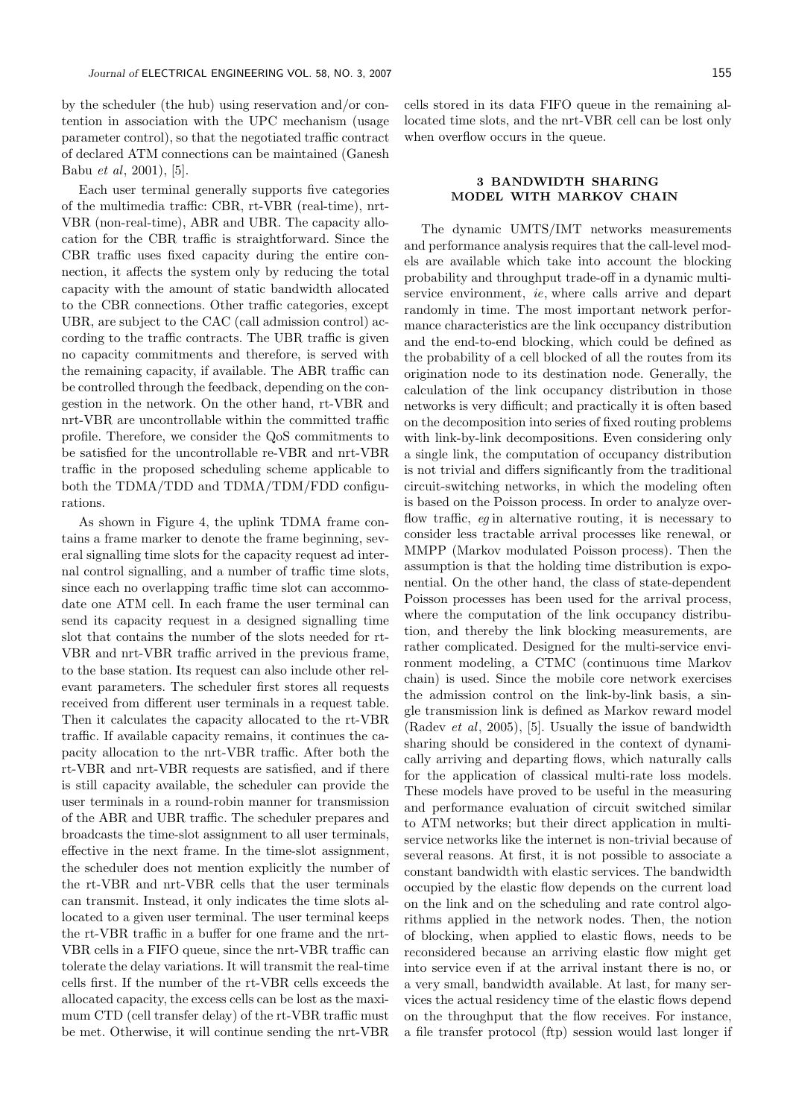by the scheduler (the hub) using reservation and/or contention in association with the UPC mechanism (usage parameter control), so that the negotiated traffic contract of declared ATM connections can be maintained (Ganesh Babu et al, 2001), [5].

Each user terminal generally supports five categories of the multimedia traffic: CBR, rt-VBR (real-time), nrt-VBR (non-real-time), ABR and UBR. The capacity allocation for the CBR traffic is straightforward. Since the CBR traffic uses fixed capacity during the entire connection, it affects the system only by reducing the total capacity with the amount of static bandwidth allocated to the CBR connections. Other traffic categories, except UBR, are subject to the CAC (call admission control) according to the traffic contracts. The UBR traffic is given no capacity commitments and therefore, is served with the remaining capacity, if available. The ABR traffic can be controlled through the feedback, depending on the congestion in the network. On the other hand, rt-VBR and nrt-VBR are uncontrollable within the committed traffic profile. Therefore, we consider the QoS commitments to be satisfied for the uncontrollable re-VBR and nrt-VBR traffic in the proposed scheduling scheme applicable to both the TDMA/TDD and TDMA/TDM/FDD configurations.

As shown in Figure 4, the uplink TDMA frame contains a frame marker to denote the frame beginning, several signalling time slots for the capacity request ad internal control signalling, and a number of traffic time slots, since each no overlapping traffic time slot can accommodate one ATM cell. In each frame the user terminal can send its capacity request in a designed signalling time slot that contains the number of the slots needed for rt-VBR and nrt-VBR traffic arrived in the previous frame, to the base station. Its request can also include other relevant parameters. The scheduler first stores all requests received from different user terminals in a request table. Then it calculates the capacity allocated to the rt-VBR traffic. If available capacity remains, it continues the capacity allocation to the nrt-VBR traffic. After both the rt-VBR and nrt-VBR requests are satisfied, and if there is still capacity available, the scheduler can provide the user terminals in a round-robin manner for transmission of the ABR and UBR traffic. The scheduler prepares and broadcasts the time-slot assignment to all user terminals, effective in the next frame. In the time-slot assignment, the scheduler does not mention explicitly the number of the rt-VBR and nrt-VBR cells that the user terminals can transmit. Instead, it only indicates the time slots allocated to a given user terminal. The user terminal keeps the rt-VBR traffic in a buffer for one frame and the nrt-VBR cells in a FIFO queue, since the nrt-VBR traffic can tolerate the delay variations. It will transmit the real-time cells first. If the number of the rt-VBR cells exceeds the allocated capacity, the excess cells can be lost as the maximum CTD (cell transfer delay) of the rt-VBR traffic must be met. Otherwise, it will continue sending the nrt-VBR cells stored in its data FIFO queue in the remaining allocated time slots, and the nrt-VBR cell can be lost only when overflow occurs in the queue.

## 3 BANDWIDTH SHARING MODEL WITH MARKOV CHAIN

The dynamic UMTS/IMT networks measurements and performance analysis requires that the call-level models are available which take into account the blocking probability and throughput trade-off in a dynamic multiservice environment, ie, where calls arrive and depart randomly in time. The most important network performance characteristics are the link occupancy distribution and the end-to-end blocking, which could be defined as the probability of a cell blocked of all the routes from its origination node to its destination node. Generally, the calculation of the link occupancy distribution in those networks is very difficult; and practically it is often based on the decomposition into series of fixed routing problems with link-by-link decompositions. Even considering only a single link, the computation of occupancy distribution is not trivial and differs significantly from the traditional circuit-switching networks, in which the modeling often is based on the Poisson process. In order to analyze overflow traffic, eg in alternative routing, it is necessary to consider less tractable arrival processes like renewal, or MMPP (Markov modulated Poisson process). Then the assumption is that the holding time distribution is exponential. On the other hand, the class of state-dependent Poisson processes has been used for the arrival process, where the computation of the link occupancy distribution, and thereby the link blocking measurements, are rather complicated. Designed for the multi-service environment modeling, a CTMC (continuous time Markov chain) is used. Since the mobile core network exercises the admission control on the link-by-link basis, a single transmission link is defined as Markov reward model (Radev et al, 2005), [5]. Usually the issue of bandwidth sharing should be considered in the context of dynamically arriving and departing flows, which naturally calls for the application of classical multi-rate loss models. These models have proved to be useful in the measuring and performance evaluation of circuit switched similar to ATM networks; but their direct application in multiservice networks like the internet is non-trivial because of several reasons. At first, it is not possible to associate a constant bandwidth with elastic services. The bandwidth occupied by the elastic flow depends on the current load on the link and on the scheduling and rate control algorithms applied in the network nodes. Then, the notion of blocking, when applied to elastic flows, needs to be reconsidered because an arriving elastic flow might get into service even if at the arrival instant there is no, or a very small, bandwidth available. At last, for many services the actual residency time of the elastic flows depend on the throughput that the flow receives. For instance, a file transfer protocol (ftp) session would last longer if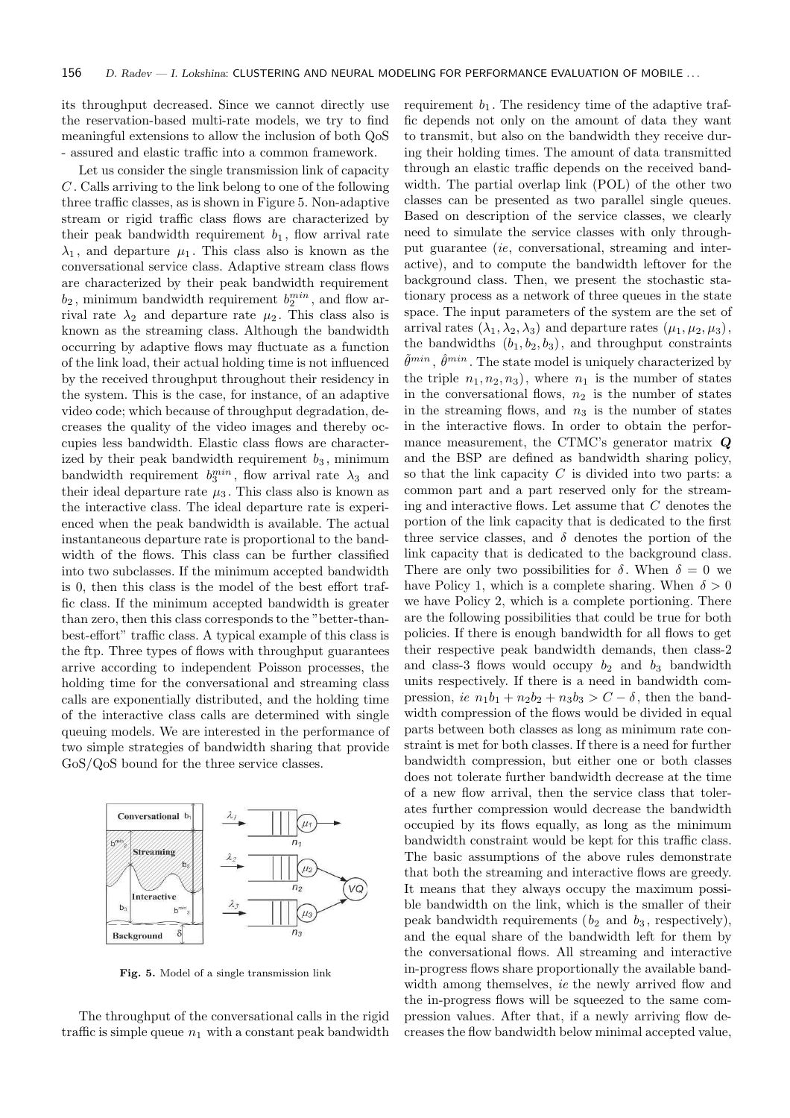its throughput decreased. Since we cannot directly use the reservation-based multi-rate models, we try to find meaningful extensions to allow the inclusion of both QoS - assured and elastic traffic into a common framework.

Let us consider the single transmission link of capacity C . Calls arriving to the link belong to one of the following three traffic classes, as is shown in Figure 5. Non-adaptive stream or rigid traffic class flows are characterized by their peak bandwidth requirement  $b_1$ , flow arrival rate  $\lambda_1$ , and departure  $\mu_1$ . This class also is known as the conversational service class. Adaptive stream class flows are characterized by their peak bandwidth requirement  $b_2$ , minimum bandwidth requirement  $b_2^{min}$ , and flow arrival rate  $\lambda_2$  and departure rate  $\mu_2$ . This class also is known as the streaming class. Although the bandwidth occurring by adaptive flows may fluctuate as a function of the link load, their actual holding time is not influenced by the received throughput throughout their residency in the system. This is the case, for instance, of an adaptive video code; which because of throughput degradation, decreases the quality of the video images and thereby occupies less bandwidth. Elastic class flows are characterized by their peak bandwidth requirement  $b_3$ , minimum bandwidth requirement  $b_3^{min}$ , flow arrival rate  $\lambda_3$  and their ideal departure rate  $\mu_3$ . This class also is known as the interactive class. The ideal departure rate is experienced when the peak bandwidth is available. The actual instantaneous departure rate is proportional to the bandwidth of the flows. This class can be further classified into two subclasses. If the minimum accepted bandwidth is 0, then this class is the model of the best effort traffic class. If the minimum accepted bandwidth is greater than zero, then this class corresponds to the "better-thanbest-effort" traffic class. A typical example of this class is the ftp. Three types of flows with throughput guarantees arrive according to independent Poisson processes, the holding time for the conversational and streaming class calls are exponentially distributed, and the holding time of the interactive class calls are determined with single queuing models. We are interested in the performance of two simple strategies of bandwidth sharing that provide GoS/QoS bound for the three service classes.



Fig. 5. Model of a single transmission link

The throughput of the conversational calls in the rigid traffic is simple queue  $n_1$  with a constant peak bandwidth requirement  $b_1$ . The residency time of the adaptive traffic depends not only on the amount of data they want to transmit, but also on the bandwidth they receive during their holding times. The amount of data transmitted through an elastic traffic depends on the received bandwidth. The partial overlap link (POL) of the other two classes can be presented as two parallel single queues. Based on description of the service classes, we clearly need to simulate the service classes with only throughput guarantee (ie, conversational, streaming and interactive), and to compute the bandwidth leftover for the background class. Then, we present the stochastic stationary process as a network of three queues in the state space. The input parameters of the system are the set of arrival rates  $(\lambda_1, \lambda_2, \lambda_3)$  and departure rates  $(\mu_1, \mu_2, \mu_3)$ , the bandwidths  $(b_1, b_2, b_3)$ , and throughput constraints  $\tilde{\theta}^{min}$ ,  $\hat{\theta}^{min}$ . The state model is uniquely characterized by the triple  $n_1, n_2, n_3$ , where  $n_1$  is the number of states in the conversational flows,  $n_2$  is the number of states in the streaming flows, and  $n_3$  is the number of states in the interactive flows. In order to obtain the performance measurement, the CTMC's generator matrix Q and the BSP are defined as bandwidth sharing policy, so that the link capacity  $C$  is divided into two parts: a common part and a part reserved only for the streaming and interactive flows. Let assume that C denotes the portion of the link capacity that is dedicated to the first three service classes, and  $\delta$  denotes the portion of the link capacity that is dedicated to the background class. There are only two possibilities for  $\delta$ . When  $\delta = 0$  we have Policy 1, which is a complete sharing. When  $\delta > 0$ we have Policy 2, which is a complete portioning. There are the following possibilities that could be true for both policies. If there is enough bandwidth for all flows to get their respective peak bandwidth demands, then class-2 and class-3 flows would occupy  $b_2$  and  $b_3$  bandwidth units respectively. If there is a need in bandwidth compression, ie  $n_1b_1 + n_2b_2 + n_3b_3 > C - \delta$ , then the bandwidth compression of the flows would be divided in equal parts between both classes as long as minimum rate constraint is met for both classes. If there is a need for further bandwidth compression, but either one or both classes does not tolerate further bandwidth decrease at the time of a new flow arrival, then the service class that tolerates further compression would decrease the bandwidth occupied by its flows equally, as long as the minimum bandwidth constraint would be kept for this traffic class. The basic assumptions of the above rules demonstrate that both the streaming and interactive flows are greedy. It means that they always occupy the maximum possible bandwidth on the link, which is the smaller of their peak bandwidth requirements ( $b_2$  and  $b_3$ , respectively), and the equal share of the bandwidth left for them by the conversational flows. All streaming and interactive in-progress flows share proportionally the available bandwidth among themselves, *ie* the newly arrived flow and the in-progress flows will be squeezed to the same compression values. After that, if a newly arriving flow decreases the flow bandwidth below minimal accepted value,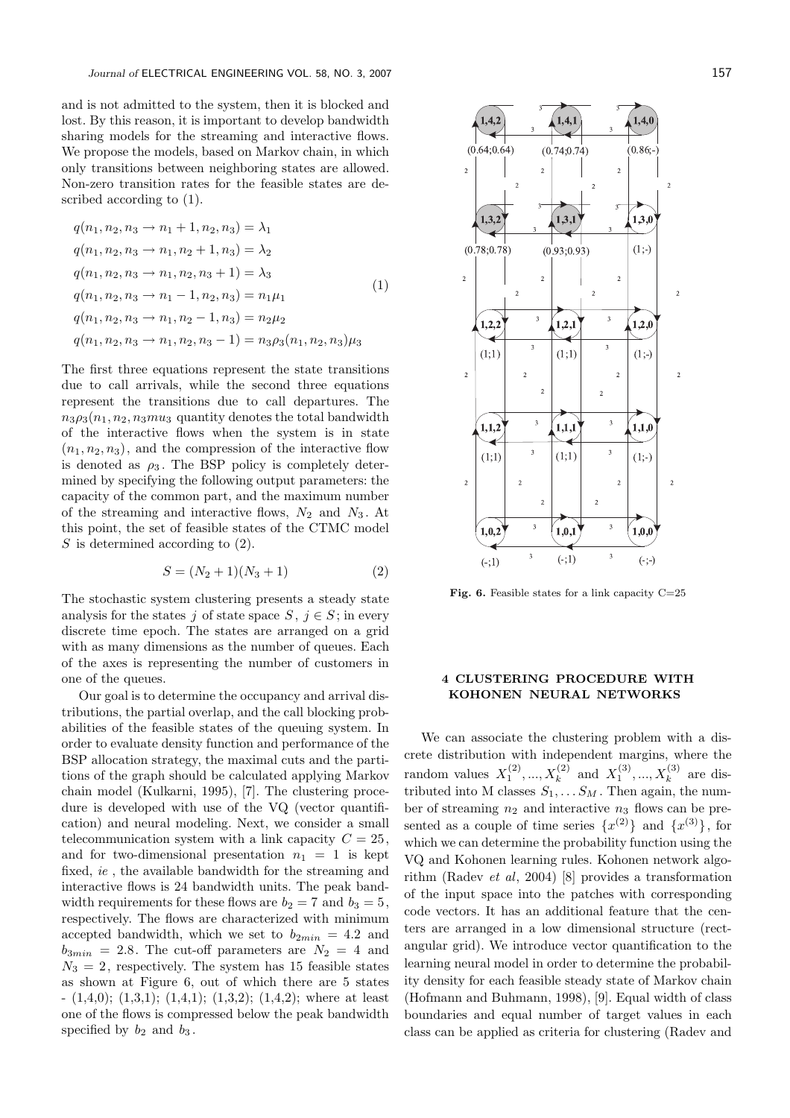and is not admitted to the system, then it is blocked and lost. By this reason, it is important to develop bandwidth sharing models for the streaming and interactive flows. We propose the models, based on Markov chain, in which only transitions between neighboring states are allowed. Non-zero transition rates for the feasible states are described according to (1).

$$
q(n_1, n_2, n_3 \rightarrow n_1 + 1, n_2, n_3) = \lambda_1
$$
  
\n
$$
q(n_1, n_2, n_3 \rightarrow n_1, n_2 + 1, n_3) = \lambda_2
$$
  
\n
$$
q(n_1, n_2, n_3 \rightarrow n_1, n_2, n_3 + 1) = \lambda_3
$$
  
\n
$$
q(n_1, n_2, n_3 \rightarrow n_1 - 1, n_2, n_3) = n_1 \mu_1
$$
  
\n
$$
q(n_1, n_2, n_3 \rightarrow n_1, n_2 - 1, n_3) = n_2 \mu_2
$$
  
\n
$$
q(n_1, n_2, n_3 \rightarrow n_1, n_2, n_3 - 1) = n_3 \rho_3(n_1, n_2, n_3) \mu_3
$$
\n(1)

The first three equations represent the state transitions due to call arrivals, while the second three equations represent the transitions due to call departures. The  $n_3 \rho_3(n_1, n_2, n_3mu_3)$  quantity denotes the total bandwidth of the interactive flows when the system is in state  $(n_1, n_2, n_3)$ , and the compression of the interactive flow is denoted as  $\rho_3$ . The BSP policy is completely determined by specifying the following output parameters: the capacity of the common part, and the maximum number of the streaming and interactive flows,  $N_2$  and  $N_3$ . At this point, the set of feasible states of the CTMC model  $S$  is determined according to  $(2)$ .

$$
S = (N_2 + 1)(N_3 + 1) \tag{2}
$$

The stochastic system clustering presents a steady state analysis for the states j of state space  $S, j \in S$ ; in every discrete time epoch. The states are arranged on a grid with as many dimensions as the number of queues. Each of the axes is representing the number of customers in one of the queues.

Our goal is to determine the occupancy and arrival distributions, the partial overlap, and the call blocking probabilities of the feasible states of the queuing system. In order to evaluate density function and performance of the BSP allocation strategy, the maximal cuts and the partitions of the graph should be calculated applying Markov chain model (Kulkarni, 1995), [7]. The clustering procedure is developed with use of the VQ (vector quantification) and neural modeling. Next, we consider a small telecommunication system with a link capacity  $C = 25$ . and for two-dimensional presentation  $n_1 = 1$  is kept fixed, ie , the available bandwidth for the streaming and interactive flows is 24 bandwidth units. The peak bandwidth requirements for these flows are  $b_2 = 7$  and  $b_3 = 5$ , respectively. The flows are characterized with minimum accepted bandwidth, which we set to  $b_{2min} = 4.2$  and  $b_{3min} = 2.8$ . The cut-off parameters are  $N_2 = 4$  and  $N_3 = 2$ , respectively. The system has 15 feasible states as shown at Figure 6, out of which there are 5 states  $-$  (1,4,0); (1,3,1); (1,4,1); (1,3,2); (1,4,2); where at least one of the flows is compressed below the peak bandwidth specified by  $b_2$  and  $b_3$ .



Fig. 6. Feasible states for a link capacity  $C=25$ 

## 4 CLUSTERING PROCEDURE WITH KOHONEN NEURAL NETWORKS

We can associate the clustering problem with a discrete distribution with independent margins, where the random values  $X_1^{(2)},...,X_k^{(2)}$  and  $X_1^{(3)},...,X_k^{(3)}$  are distributed into M classes  $S_1, \ldots, S_M$ . Then again, the number of streaming  $n_2$  and interactive  $n_3$  flows can be presented as a couple of time series  $\{x^{(2)}\}$  and  $\{x^{(3)}\}$ , for which we can determine the probability function using the VQ and Kohonen learning rules. Kohonen network algorithm (Radev et al, 2004) [8] provides a transformation of the input space into the patches with corresponding code vectors. It has an additional feature that the centers are arranged in a low dimensional structure (rectangular grid). We introduce vector quantification to the learning neural model in order to determine the probability density for each feasible steady state of Markov chain (Hofmann and Buhmann, 1998), [9]. Equal width of class boundaries and equal number of target values in each class can be applied as criteria for clustering (Radev and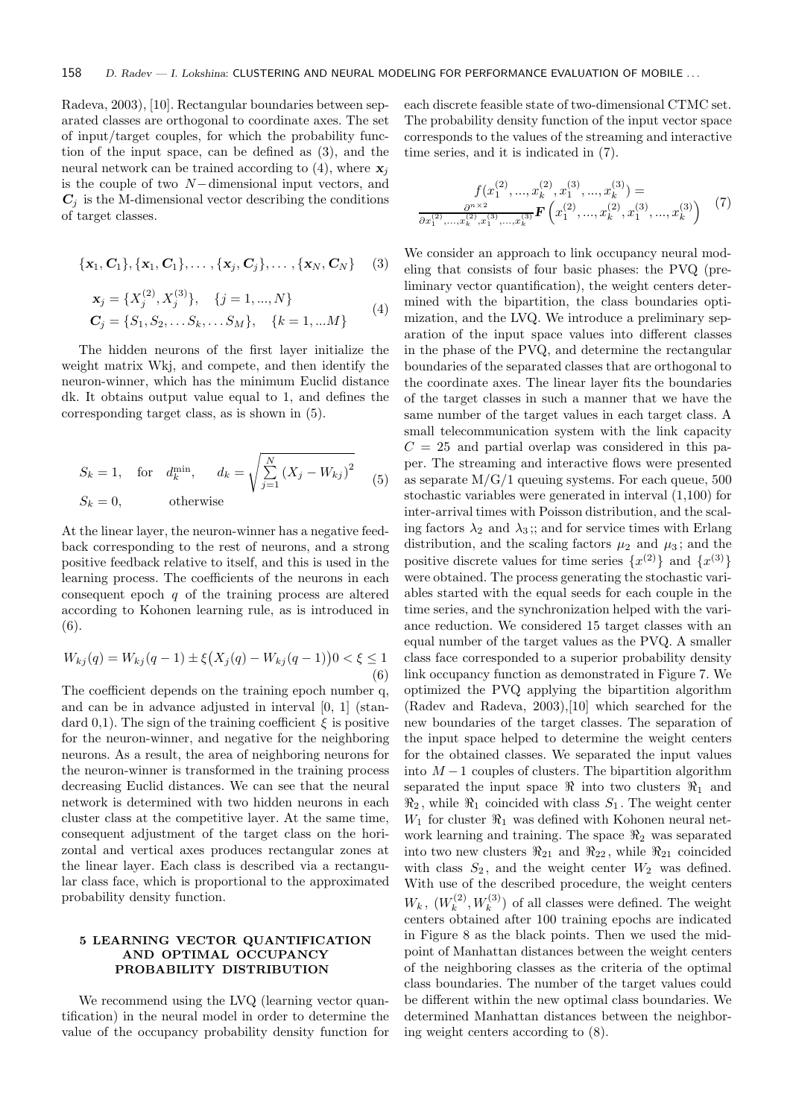Radeva, 2003), [10]. Rectangular boundaries between separated classes are orthogonal to coordinate axes. The set of input/target couples, for which the probability function of the input space, can be defined as (3), and the neural network can be trained according to (4), where  $x_i$ is the couple of two N−dimensional input vectors, and  $C_i$  is the M-dimensional vector describing the conditions of target classes.

$$
{\bf \{x_1, C_1\}, \{x_1, C_1\}, \ldots, \{x_j, C_j\}, \ldots, \{x_N, C_N\}} (3)
$$

$$
\mathbf{x}_{j} = \{X_{j}^{(2)}, X_{j}^{(3)}\}, \quad \{j = 1, ..., N\}
$$
  
\n
$$
\mathbf{C}_{j} = \{S_{1}, S_{2}, \dots S_{k}, \dots S_{M}\}, \quad \{k = 1, ... M\}
$$
 (4)

The hidden neurons of the first layer initialize the weight matrix Wkj, and compete, and then identify the neuron-winner, which has the minimum Euclid distance dk. It obtains output value equal to 1, and defines the corresponding target class, as is shown in (5).

$$
S_k = 1, \text{ for } d_k^{\min}, \quad d_k = \sqrt{\sum_{j=1}^N (X_j - W_{kj})^2}
$$
  

$$
S_k = 0, \text{ otherwise}
$$
 (5)

At the linear layer, the neuron-winner has a negative feedback corresponding to the rest of neurons, and a strong positive feedback relative to itself, and this is used in the learning process. The coefficients of the neurons in each consequent epoch  $q$  of the training process are altered according to Kohonen learning rule, as is introduced in (6).

$$
W_{kj}(q) = W_{kj}(q-1) \pm \xi \big(X_j(q) - W_{kj}(q-1)\big)0 < \xi \le 1
$$
\n(6)

The coefficient depends on the training epoch number q, and can be in advance adjusted in interval [0, 1] (standard 0.1). The sign of the training coefficient  $\xi$  is positive for the neuron-winner, and negative for the neighboring neurons. As a result, the area of neighboring neurons for the neuron-winner is transformed in the training process decreasing Euclid distances. We can see that the neural network is determined with two hidden neurons in each cluster class at the competitive layer. At the same time, consequent adjustment of the target class on the horizontal and vertical axes produces rectangular zones at the linear layer. Each class is described via a rectangular class face, which is proportional to the approximated probability density function.

## 5 LEARNING VECTOR QUANTIFICATION AND OPTIMAL OCCUPANCY PROBABILITY DISTRIBUTION

We recommend using the LVQ (learning vector quantification) in the neural model in order to determine the value of the occupancy probability density function for each discrete feasible state of two-dimensional CTMC set. The probability density function of the input vector space corresponds to the values of the streaming and interactive time series, and it is indicated in (7).

$$
f(x_1^{(2)},...,x_k^{(2)},x_1^{(3)},...,x_k^{(3)}) = \frac{\partial^{n \times 2}}{\partial x_1^{(2)},...,x_k^{(2)},x_1^{(3)},...,x_k^{(3)}} \mathbf{F}\left(x_1^{(2)},...,x_k^{(2)},x_1^{(3)},...,x_k^{(3)}\right)
$$
(7)

We consider an approach to link occupancy neural modeling that consists of four basic phases: the PVQ (preliminary vector quantification), the weight centers determined with the bipartition, the class boundaries optimization, and the LVQ. We introduce a preliminary separation of the input space values into different classes in the phase of the PVQ, and determine the rectangular boundaries of the separated classes that are orthogonal to the coordinate axes. The linear layer fits the boundaries of the target classes in such a manner that we have the same number of the target values in each target class. A small telecommunication system with the link capacity  $C = 25$  and partial overlap was considered in this paper. The streaming and interactive flows were presented as separate  $M/G/1$  queuing systems. For each queue, 500 stochastic variables were generated in interval (1,100) for inter-arrival times with Poisson distribution, and the scaling factors  $\lambda_2$  and  $\lambda_3$ ;; and for service times with Erlang distribution, and the scaling factors  $\mu_2$  and  $\mu_3$ ; and the positive discrete values for time series  $\{x^{(2)}\}$  and  $\{x^{(3)}\}$ were obtained. The process generating the stochastic variables started with the equal seeds for each couple in the time series, and the synchronization helped with the variance reduction. We considered 15 target classes with an equal number of the target values as the PVQ. A smaller class face corresponded to a superior probability density link occupancy function as demonstrated in Figure 7. We optimized the PVQ applying the bipartition algorithm (Radev and Radeva, 2003),[10] which searched for the new boundaries of the target classes. The separation of the input space helped to determine the weight centers for the obtained classes. We separated the input values into  $M-1$  couples of clusters. The bipartition algorithm separated the input space  $\Re$  into two clusters  $\Re_1$  and  $\Re_2$ , while  $\Re_1$  coincided with class  $S_1$ . The weight center  $W_1$  for cluster  $\Re_1$  was defined with Kohonen neural network learning and training. The space  $\Re_2$  was separated into two new clusters  $\Re_{21}$  and  $\Re_{22}$ , while  $\Re_{21}$  coincided with class  $S_2$ , and the weight center  $W_2$  was defined. With use of the described procedure, the weight centers  $W_k, (W_k^{(2)}$  $(k_k^{(2)}, W_k^{(3)})$  of all classes were defined. The weight centers obtained after 100 training epochs are indicated in Figure 8 as the black points. Then we used the midpoint of Manhattan distances between the weight centers of the neighboring classes as the criteria of the optimal class boundaries. The number of the target values could be different within the new optimal class boundaries. We determined Manhattan distances between the neighboring weight centers according to (8).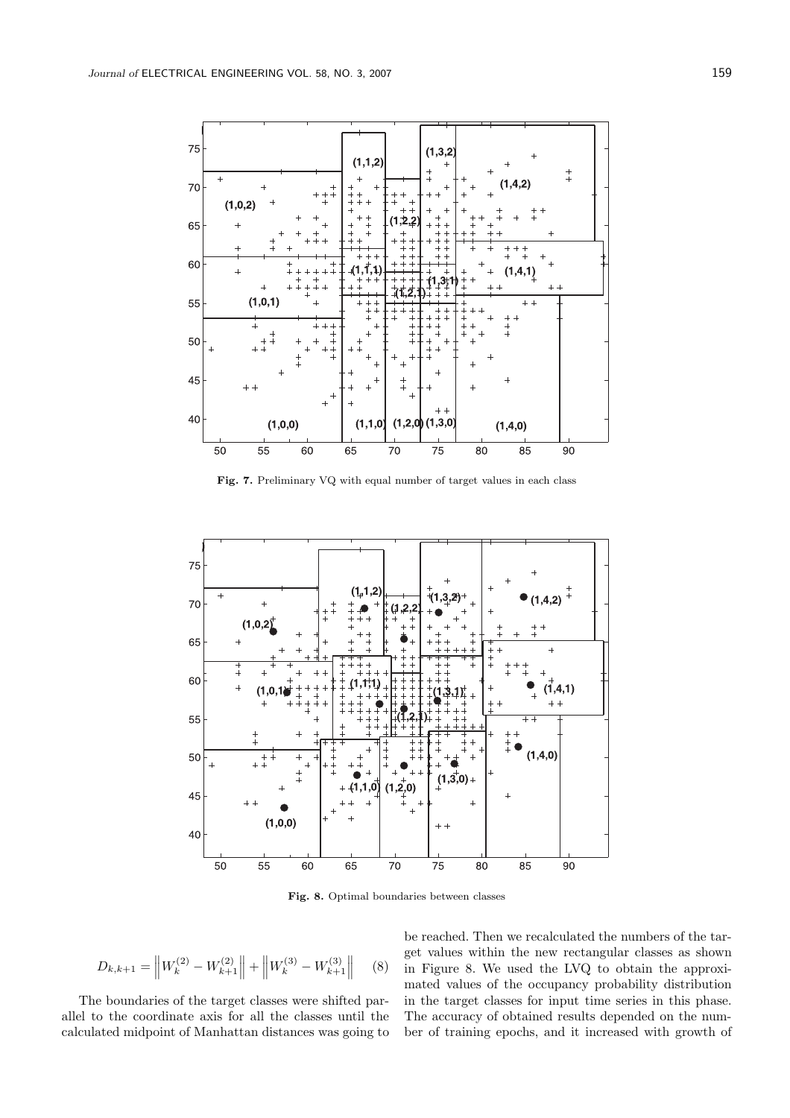

Fig. 7. Preliminary VQ with equal number of target values in each class



Fig. 8. Optimal boundaries between classes

$$
D_{k,k+1} = \left\| W_k^{(2)} - W_{k+1}^{(2)} \right\| + \left\| W_k^{(3)} - W_{k+1}^{(3)} \right\| \tag{8}
$$

The boundaries of the target classes were shifted parallel to the coordinate axis for all the classes until the calculated midpoint of Manhattan distances was going to be reached. Then we recalculated the numbers of the target values within the new rectangular classes as shown in Figure 8. We used the LVQ to obtain the approximated values of the occupancy probability distribution in the target classes for input time series in this phase. The accuracy of obtained results depended on the number of training epochs, and it increased with growth of